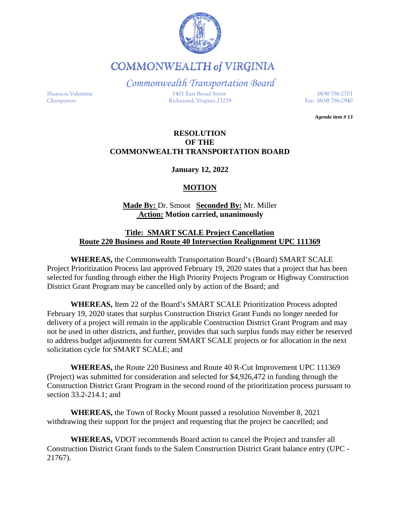

**COMMONWEALTH of VIRGINIA** 

*Commonwealth Transportation Board* Shannon Valentine 1401 East Broad Street (804) 786-2701

*Agenda item # 13*

### **RESOLUTION OF THE COMMONWEALTH TRANSPORTATION BOARD**

**January 12, 2022**

# **MOTION**

## **Made By:** Dr. Smoot **Seconded By:** Mr. Miller **Action: Motion carried, unanimously**

### **Title: SMART SCALE Project Cancellation Route 220 Business and Route 40 Intersection Realignment UPC 111369**

**WHEREAS,** the Commonwealth Transportation Board's (Board) SMART SCALE Project Prioritization Process last approved February 19, 2020 states that a project that has been selected for funding through either the High Priority Projects Program or Highway Construction District Grant Program may be cancelled only by action of the Board; and

**WHEREAS,** Item 22 of the Board's SMART SCALE Prioritization Process adopted February 19, 2020 states that surplus Construction District Grant Funds no longer needed for delivery of a project will remain in the applicable Construction District Grant Program and may not be used in other districts, and further, provides that such surplus funds may either be reserved to address budget adjustments for current SMART SCALE projects or for allocation in the next solicitation cycle for SMART SCALE; and

**WHEREAS,** the Route 220 Business and Route 40 R-Cut Improvement UPC 111369 (Project) was submitted for consideration and selected for \$4,926,472 in funding through the Construction District Grant Program in the second round of the prioritization process pursuant to section 33.2-214.1; and

**WHEREAS,** the Town of Rocky Mount passed a resolution November 8, 2021 withdrawing their support for the project and requesting that the project be cancelled; and

**WHEREAS,** VDOT recommends Board action to cancel the Project and transfer all Construction District Grant funds to the Salem Construction District Grant balance entry (UPC - 21767).

Chairperson Richmond, Virginia 23219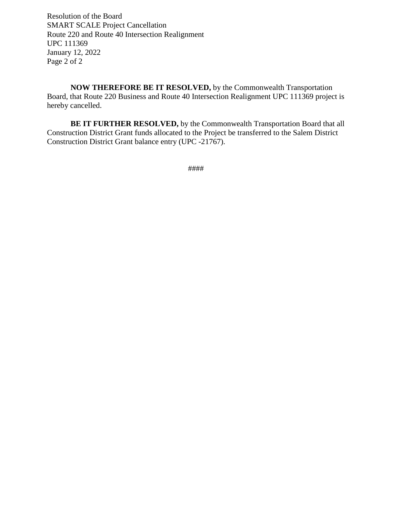Resolution of the Board SMART SCALE Project Cancellation Route 220 and Route 40 Intersection Realignment UPC 111369 January 12, 2022 Page 2 of 2

**NOW THEREFORE BE IT RESOLVED,** by the Commonwealth Transportation Board, that Route 220 Business and Route 40 Intersection Realignment UPC 111369 project is hereby cancelled.

**BE IT FURTHER RESOLVED,** by the Commonwealth Transportation Board that all Construction District Grant funds allocated to the Project be transferred to the Salem District Construction District Grant balance entry (UPC -21767).

####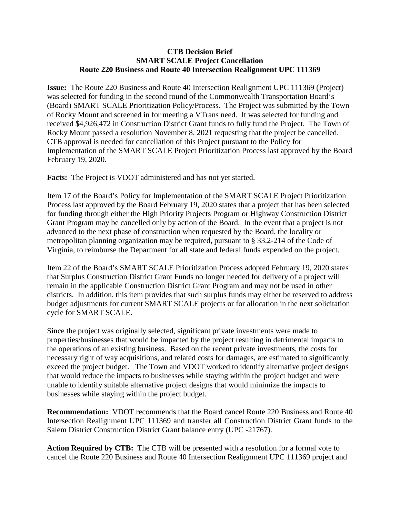### **CTB Decision Brief SMART SCALE Project Cancellation Route 220 Business and Route 40 Intersection Realignment UPC 111369**

**Issue:** The Route 220 Business and Route 40 Intersection Realignment UPC 111369 (Project) was selected for funding in the second round of the Commonwealth Transportation Board's (Board) SMART SCALE Prioritization Policy/Process. The Project was submitted by the Town of Rocky Mount and screened in for meeting a VTrans need. It was selected for funding and received \$4,926,472 in Construction District Grant funds to fully fund the Project. The Town of Rocky Mount passed a resolution November 8, 2021 requesting that the project be cancelled. CTB approval is needed for cancellation of this Project pursuant to the Policy for Implementation of the SMART SCALE Project Prioritization Process last approved by the Board February 19, 2020.

**Facts:** The Project is VDOT administered and has not yet started.

Item 17 of the Board's Policy for Implementation of the SMART SCALE Project Prioritization Process last approved by the Board February 19, 2020 states that a project that has been selected for funding through either the High Priority Projects Program or Highway Construction District Grant Program may be cancelled only by action of the Board. In the event that a project is not advanced to the next phase of construction when requested by the Board, the locality or metropolitan planning organization may be required, pursuant to § 33.2-214 of the Code of Virginia, to reimburse the Department for all state and federal funds expended on the project.

Item 22 of the Board's SMART SCALE Prioritization Process adopted February 19, 2020 states that Surplus Construction District Grant Funds no longer needed for delivery of a project will remain in the applicable Construction District Grant Program and may not be used in other districts. In addition, this item provides that such surplus funds may either be reserved to address budget adjustments for current SMART SCALE projects or for allocation in the next solicitation cycle for SMART SCALE.

Since the project was originally selected, significant private investments were made to properties/businesses that would be impacted by the project resulting in detrimental impacts to the operations of an existing business. Based on the recent private investments, the costs for necessary right of way acquisitions, and related costs for damages, are estimated to significantly exceed the project budget. The Town and VDOT worked to identify alternative project designs that would reduce the impacts to businesses while staying within the project budget and were unable to identify suitable alternative project designs that would minimize the impacts to businesses while staying within the project budget.

**Recommendation:** VDOT recommends that the Board cancel Route 220 Business and Route 40 Intersection Realignment UPC 111369 and transfer all Construction District Grant funds to the Salem District Construction District Grant balance entry (UPC -21767).

**Action Required by CTB:** The CTB will be presented with a resolution for a formal vote to cancel the Route 220 Business and Route 40 Intersection Realignment UPC 111369 project and